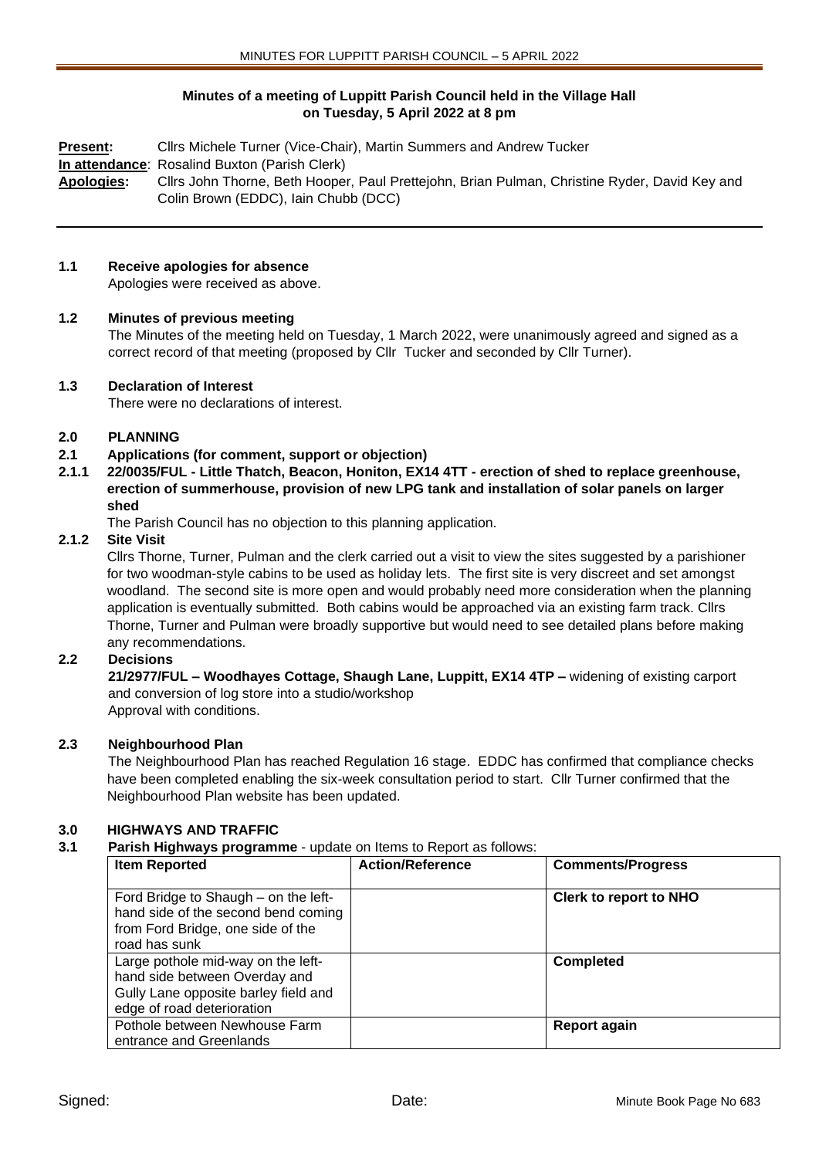# **Minutes of a meeting of Luppitt Parish Council held in the Village Hall on Tuesday, 5 April 2022 at 8 pm**

**Present:** Cllrs Michele Turner (Vice-Chair), Martin Summers and Andrew Tucker **In attendance**: Rosalind Buxton (Parish Clerk) **Apologies:** Cllrs John Thorne, Beth Hooper, Paul Prettejohn, Brian Pulman, Christine Ryder, David Key and Colin Brown (EDDC), Iain Chubb (DCC)

# **1.1 Receive apologies for absence**

Apologies were received as above.

# **1.2 Minutes of previous meeting**

The Minutes of the meeting held on Tuesday, 1 March 2022, were unanimously agreed and signed as a correct record of that meeting (proposed by Cllr Tucker and seconded by Cllr Turner).

# **1.3 Declaration of Interest**

There were no declarations of interest.

# **2.0 PLANNING**

#### **2.1 Applications (for comment, support or objection)**

**2.1.1 22/0035/FUL - Little Thatch, Beacon, Honiton, EX14 4TT - erection of shed to replace greenhouse, erection of summerhouse, provision of new LPG tank and installation of solar panels on larger shed**

The Parish Council has no objection to this planning application.

#### **2.1.2 Site Visit**

Cllrs Thorne, Turner, Pulman and the clerk carried out a visit to view the sites suggested by a parishioner for two woodman-style cabins to be used as holiday lets. The first site is very discreet and set amongst woodland. The second site is more open and would probably need more consideration when the planning application is eventually submitted. Both cabins would be approached via an existing farm track. Cllrs Thorne, Turner and Pulman were broadly supportive but would need to see detailed plans before making any recommendations.

# **2.2 Decisions**

**21/2977/FUL – Woodhayes Cottage, Shaugh Lane, Luppitt, EX14 4TP –** widening of existing carport and conversion of log store into a studio/workshop Approval with conditions.

**2.3 Neighbourhood Plan**

The Neighbourhood Plan has reached Regulation 16 stage. EDDC has confirmed that compliance checks have been completed enabling the six-week consultation period to start. Cllr Turner confirmed that the Neighbourhood Plan website has been updated.

# **3.0 HIGHWAYS AND TRAFFIC**

#### **3.1 Parish Highways programme** - update on Items to Report as follows:

| <b>Item Reported</b>                                                                                                                      | <b>Action/Reference</b> | <b>Comments/Progress</b>      |
|-------------------------------------------------------------------------------------------------------------------------------------------|-------------------------|-------------------------------|
| Ford Bridge to Shaugh – on the left-<br>hand side of the second bend coming<br>from Ford Bridge, one side of the<br>road has sunk         |                         | <b>Clerk to report to NHO</b> |
| Large pothole mid-way on the left-<br>hand side between Overday and<br>Gully Lane opposite barley field and<br>edge of road deterioration |                         | <b>Completed</b>              |
| Pothole between Newhouse Farm<br>entrance and Greenlands                                                                                  |                         | <b>Report again</b>           |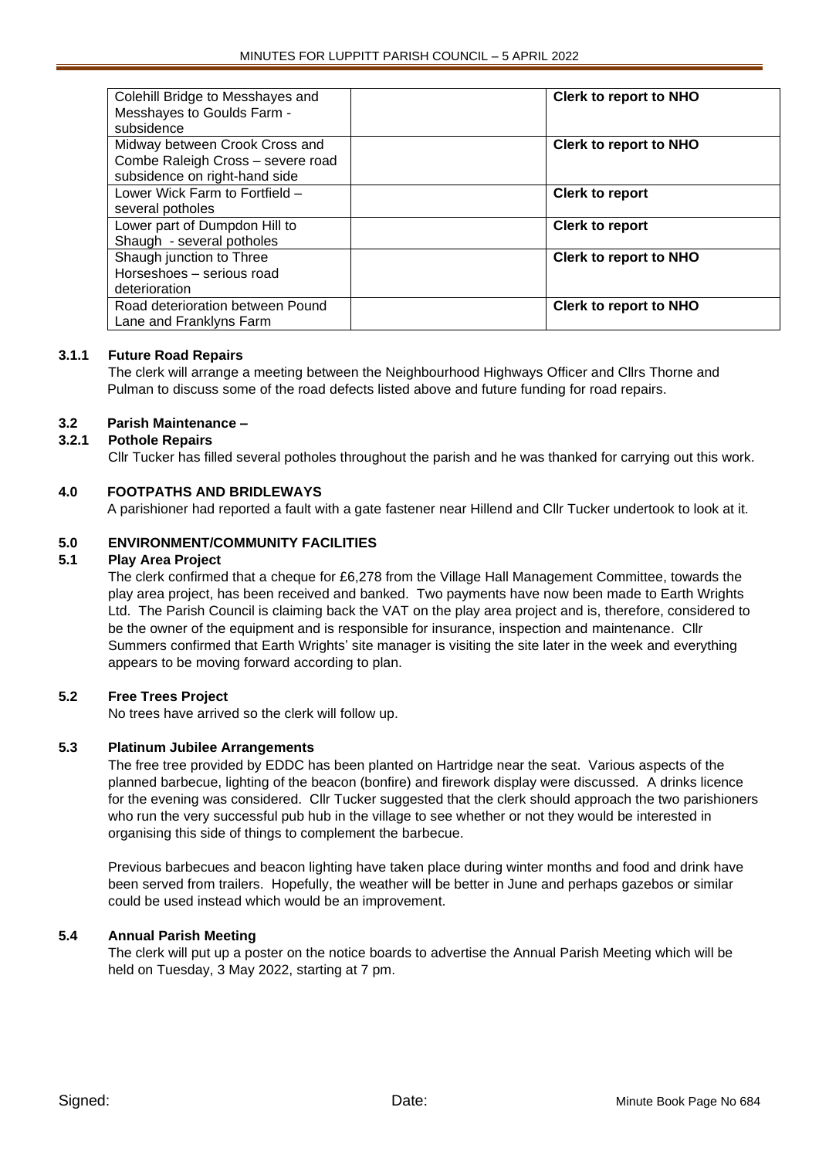| Colehill Bridge to Messhayes and<br>Messhayes to Goulds Farm - | <b>Clerk to report to NHO</b> |
|----------------------------------------------------------------|-------------------------------|
| subsidence                                                     |                               |
| Midway between Crook Cross and                                 | <b>Clerk to report to NHO</b> |
| Combe Raleigh Cross - severe road                              |                               |
| subsidence on right-hand side                                  |                               |
| Lower Wick Farm to Fortfield -                                 | <b>Clerk to report</b>        |
| several potholes                                               |                               |
| Lower part of Dumpdon Hill to                                  | <b>Clerk to report</b>        |
| Shaugh - several potholes                                      |                               |
| Shaugh junction to Three                                       | <b>Clerk to report to NHO</b> |
| Horseshoes - serious road                                      |                               |
| deterioration                                                  |                               |
| Road deterioration between Pound                               | <b>Clerk to report to NHO</b> |
| Lane and Franklyns Farm                                        |                               |

# **3.1.1 Future Road Repairs**

The clerk will arrange a meeting between the Neighbourhood Highways Officer and Cllrs Thorne and Pulman to discuss some of the road defects listed above and future funding for road repairs.

# **3.2 Parish Maintenance –**

# **3.2.1 Pothole Repairs**

Cllr Tucker has filled several potholes throughout the parish and he was thanked for carrying out this work.

# **4.0 FOOTPATHS AND BRIDLEWAYS**

A parishioner had reported a fault with a gate fastener near Hillend and Cllr Tucker undertook to look at it.

# **5.0 ENVIRONMENT/COMMUNITY FACILITIES**

# **5.1 Play Area Project**

The clerk confirmed that a cheque for £6,278 from the Village Hall Management Committee, towards the play area project, has been received and banked. Two payments have now been made to Earth Wrights Ltd. The Parish Council is claiming back the VAT on the play area project and is, therefore, considered to be the owner of the equipment and is responsible for insurance, inspection and maintenance. Cllr Summers confirmed that Earth Wrights' site manager is visiting the site later in the week and everything appears to be moving forward according to plan.

# **5.2 Free Trees Project**

No trees have arrived so the clerk will follow up.

# **5.3 Platinum Jubilee Arrangements**

The free tree provided by EDDC has been planted on Hartridge near the seat. Various aspects of the planned barbecue, lighting of the beacon (bonfire) and firework display were discussed. A drinks licence for the evening was considered. Cllr Tucker suggested that the clerk should approach the two parishioners who run the very successful pub hub in the village to see whether or not they would be interested in organising this side of things to complement the barbecue.

Previous barbecues and beacon lighting have taken place during winter months and food and drink have been served from trailers. Hopefully, the weather will be better in June and perhaps gazebos or similar could be used instead which would be an improvement.

# **5.4 Annual Parish Meeting**

The clerk will put up a poster on the notice boards to advertise the Annual Parish Meeting which will be held on Tuesday, 3 May 2022, starting at 7 pm.